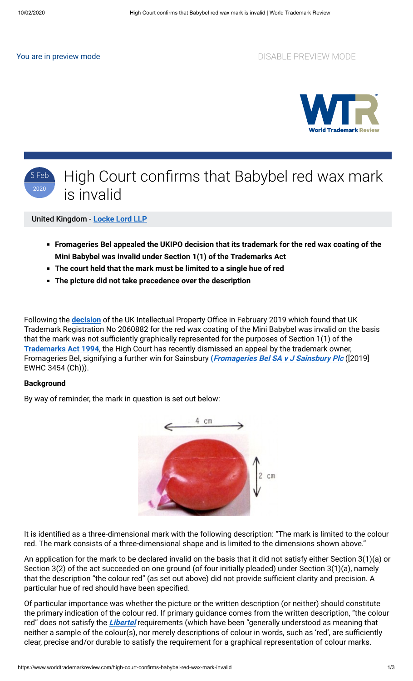You are in preview mode **DISABLE PREVIEW MODE** 





United Kingdom - **[Locke Lord LLP](https://www.worldtrademarkreview.com/Daily/Contributors#United%20Kingdom)**

- **Fromageries Bel appealed the UKIPO decision that its trademark for the red wax coating of the Mini Babybel was invalid under Section 1(1) of the Trademarks Act**
- **The court held that the mark must be limited to a single hue of red**
- **The picture did not take precedence over the description**

Following the **[decision](https://www.worldtrademarkreview.com/enforcement-and-litigation/bye-bye-bye-bye-babybel-sainsburys-obtains-cancellation-babybel-red)** of the UK Intellectual Property Office in February 2019 which found that UK Trademark Registration No 2060882 for the red wax coating of the Mini Babybel was invalid on the basis that the mark was not sufficiently graphically represented for the purposes of Section 1(1) of the **[Trademarks Act 1994](http://www.legislation.gov.uk/ukpga/1994/26/contents)**, the High Court has recently dismissed an appeal by the trademark owner, Fromageries Bel, signifying a further win for Sainsbury **([Fromageries Bel SA v J Sainsbury Plc](https://www.bailii.org/ew/cases/EWHC/Ch/2019/3454.pdf)** ([2019] EWHC 3454 (Ch))).

#### **Background**

By way of reminder, the mark in question is set out below:



It is identified as a three-dimensional mark with the following description: "The mark is limited to the colour red. The mark consists of a three-dimensional shape and is limited to the dimensions shown above."

An application for the mark to be declared invalid on the basis that it did not satisfy either Section 3(1)(a) or Section 3(2) of the act succeeded on one ground (of four initially pleaded) under Section 3(1)(a), namely that the description "the colour red" (as set out above) did not provide sufficient clarity and precision. A particular hue of red should have been specified.

Of particular importance was whether the picture or the written description (or neither) should constitute the primary indication of the colour red. If primary guidance comes from the written description, "the colour red" does not satisfy the **[Libertel](http://curia.europa.eu/juris/document/document.jsf;jsessionid=317C6B0C3D55CC8757728C19B694ED1C?text=&docid=48237&pageIndex=0&doclang=en&mode=lst&dir=&occ=first&part=1&cid=3012297)** requirements (which have been "generally understood as meaning that neither a sample of the colour(s), nor merely descriptions of colour in words, such as 'red', are sufficiently clear, precise and/or durable to satisfy the requirement for a graphical representation of colour marks.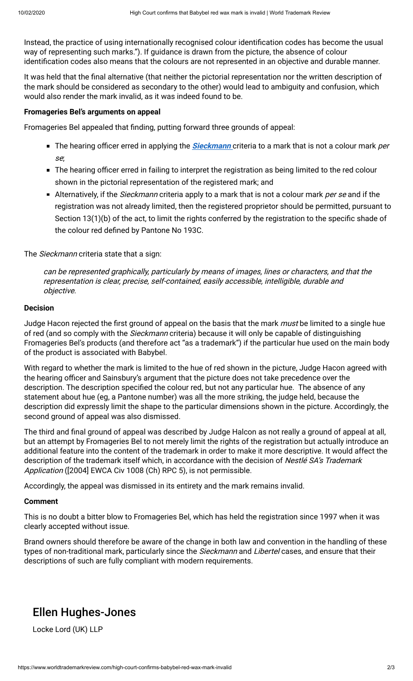Instead, the practice of using internationally recognised colour identification codes has become the usual way of representing such marks."). If guidance is drawn from the picture, the absence of colour identification codes also means that the colours are not represented in an objective and durable manner.

It was held that the final alternative (that neither the pictorial representation nor the written description of the mark should be considered as secondary to the other) would lead to ambiguity and confusion, which would also render the mark invalid, as it was indeed found to be.

#### **Fromageries Bel's arguments on appeal**

Fromageries Bel appealed that finding, putting forward three grounds of appeal:

- The hearing officer erred in applying the **[Sieckmann](https://eur-lex.europa.eu/legal-content/EN/TXT/HTML/?uri=CELEX:62000CJ0273&from=EN)** criteria to a mark that is not a colour mark per se;
- **The hearing officer erred in failing to interpret the registration as being limited to the red colour** shown in the pictorial representation of the registered mark; and
- Alternatively, if the *Sieckmann* criteria apply to a mark that is not a colour mark *per se* and if the registration was not already limited, then the registered proprietor should be permitted, pursuant to Section 13(1)(b) of the act, to limit the rights conferred by the registration to the specific shade of the colour red defined by Pantone No 193C.

The Sieckmann criteria state that a sign:

can be represented graphically, particularly by means of images, lines or characters, and that the representation is clear, precise, self-contained, easily accessible, intelligible, durable and objective.

## **Decision**

Judge Hacon rejected the first ground of appeal on the basis that the mark *must* be limited to a single hue of red (and so comply with the *Sieckmann* criteria) because it will only be capable of distinguishing Fromageries Bel's products (and therefore act "as a trademark") if the particular hue used on the main body of the product is associated with Babybel.

With regard to whether the mark is limited to the hue of red shown in the picture, Judge Hacon agreed with the hearing officer and Sainsbury's argument that the picture does not take precedence over the description. The description specified the colour red, but not any particular hue. The absence of any statement about hue (eg, a Pantone number) was all the more striking, the judge held, because the description did expressly limit the shape to the particular dimensions shown in the picture. Accordingly, the second ground of appeal was also dismissed.

The third and final ground of appeal was described by Judge Halcon as not really a ground of appeal at all, but an attempt by Fromageries Bel to not merely limit the rights of the registration but actually introduce an additional feature into the content of the trademark in order to make it more descriptive. It would affect the description of the trademark itself which, in accordance with the decision of Nestlé SA's Trademark Application ([2004] EWCA Civ 1008 (Ch) RPC 5), is not permissible.

Accordingly, the appeal was dismissed in its entirety and the mark remains invalid.

## **Comment**

This is no doubt a bitter blow to Fromageries Bel, which has held the registration since 1997 when it was clearly accepted without issue.

Brand owners should therefore be aware of the change in both law and convention in the handling of these types of non-traditional mark, particularly since the Sieckmann and Libertel cases, and ensure that their descriptions of such are fully compliant with modern requirements.

# Ellen Hughes-Jones

Locke Lord (UK) LLP